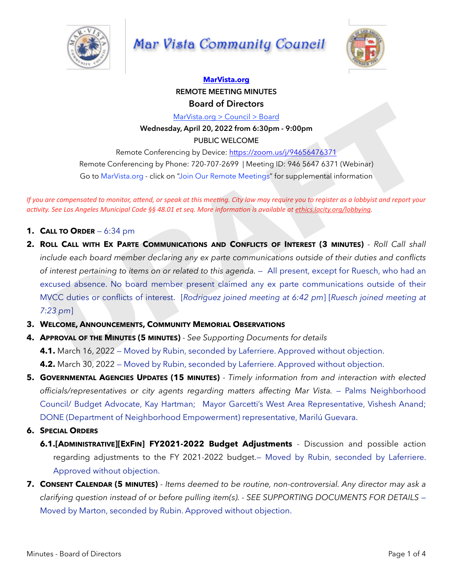

# Mar Vista Community Council



# **[MarVista.org](http://MarVista.org) REMOTE MEETING MINUTES Board of Directors**

MarVista.org > Council > Board

**Wednesday, April 20, 2022 from 6:30pm - 9:00pm**

PUBLIC WELCOME

Remote Conferencing by Device: https://zoom.us/j/94656476371 Remote Conferencing by Phone: 720-707-2699 | Meeting ID: 946 5647 6371 (Webinar) Go to MarVista.org - click on "Join Our Remote Meetings" for supplemental information

*If* you are compensated to monitor, attend, or speak at this meeting. City law may require you to register as a lobbyist and report your *activity.* See Los Angeles Municipal Code §§ 48.01 et seq. More information is available at ethics.lacity.org/lobbying.

- **1. CALL TO ORDER** 6:34 pm
- **2. ROLL CALL WITH EX PARTE COMMUNICATIONS AND CONFLICTS OF INTEREST (3 MINUTES)**  *Roll Call shall include each board member declaring any ex parte communications outside of their duties and conflicts of interest pertaining to items on or related to this agenda.* — All present, except for Ruesch, who had an excused absence. No board member present claimed any ex parte communications outside of their MVCC duties or conflicts of interest. [*Rodriguez joined meeting at 6:42 pm*] [*Ruesch joined meeting at 7:23 pm*] **Board of Directors**<br> **ManYistangs 2 Council 3 Board<br>
Wednesday, [A](http://ethics.lacity.org/lobbying)pril 20, 2022 from 6:30pm - 9:00pm<br>
PUBLIC WELCOME<br>
Remote Conferencing by People: thugs**  $\frac{1}{2}$ **(***Zommasit/94656476371***<br>
Remote Conferencing by Phone: 72**
- **3. WELCOME, ANNOUNCEMENTS, COMMUNITY MEMORIAL OBSERVATIONS**
- **4. APPROVAL OF THE MINUTES (5 MINUTES)**  *See Supporting Documents for details*
	- **4.1.** March 16, 2022 Moved by Rubin, seconded by Laferriere. Approved without objection.

**4.2.** March 30, 2022 — Moved by Rubin, seconded by Laferriere. Approved without objection.

- **5. GOVERNMENTAL AGENCIES UPDATES (15 MINUTES)**  *Timely information from and interaction with elected*  officials/representatives or city agents regarding matters affecting Mar Vista. - Palms Neighborhood Council/ Budget Advocate, Kay Hartman; Mayor Garcetti's West Area Representative, Vishesh Anand; DONE (Department of Neighborhood Empowerment) representative, Marilú Guevara.
- **6. SPECIAL ORDERS**
	- **6.1.[ADMINISTRATIVE][EXFIN] FY2021-2022 Budget Adjustments**  Discussion and possible action regarding adjustments to the FY 2021-2022 budget.— Moved by Rubin, seconded by Laferriere. Approved without objection.
- **7. CONSENT CALENDAR (5 MINUTES)**  *Items deemed to be routine, non-controversial. Any director may ask a clarifying question instead of or before pulling item(s). - SEE SUPPORTING DOCUMENTS FOR DETAILS* — Moved by Marton, seconded by Rubin. Approved without objection.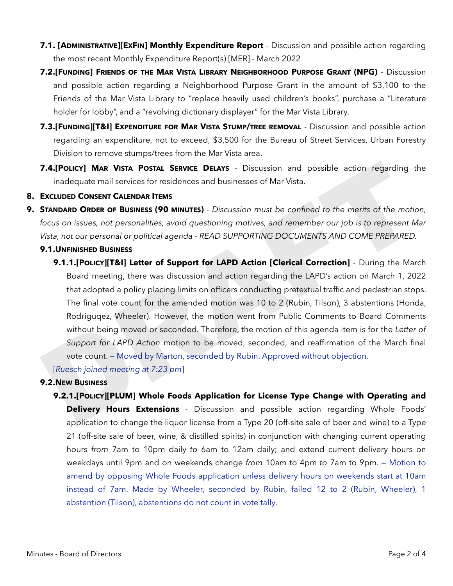- **7.1. [ADMINISTRATIVE][EXFIN] Monthly Expenditure Report** Discussion and possible action regarding the most recent Monthly Expenditure Report(s) [MER] - March 2022
- **7.2.[FUNDING] FRIENDS OF THE MAR VISTA LIBRARY NEIGHBORHOOD PURPOSE GRANT (NPG)**  Discussion and possible action regarding a Neighborhood Purpose Grant in the amount of \$3,100 to the Friends of the Mar Vista Library to "replace heavily used children's books", purchase a "Literature holder for lobby", and a "revolving dictionary displayer" for the Mar Vista Library.
- **7.3.[FUNDING][T&I] EXPENDITURE FOR MAR VISTA STUMP/TREE REMOVAL** Discussion and possible action regarding an expenditure, not to exceed, \$3,500 for the Bureau of Street Services, Urban Forestry Division to remove stumps/trees from the Mar Vista area.
- **7.4.[POLICY] MAR VISTA POSTAL SERVICE DELAYS** Discussion and possible action regarding the inadequate mail services for residences and businesses of Mar Vista.

# **8. EXCLUDED CONSENT CALENDAR ITEMS**

**9. STANDARD ORDER OF BUSINESS (90 MINUTES)** *- Discussion must be confined to the merits of the motion, focus on issues, not personalities, avoid questioning motives, and remember our job is to represent Mar Vista, not our personal or political agenda - READ SUPPORTING DOCUMENTS AND COME PREPARED.* 

# **9.1.UNFINISHED BUSINESS**

**9.1.1.[POLICY][T&I] Letter of Support for LAPD Action [Clerical Correction]** - During the March Board meeting, there was discussion and action regarding the LAPD's action on March 1, 2022 that adopted a policy placing limits on officers conducting pretextual traffic and pedestrian stops. The final vote count for the amended motion was 10 to 2 (Rubin, Tilson), 3 abstentions (Honda, Rodriguqez, Wheeler). However, the motion went from Public Comments to Board Comments without being moved or seconded. Therefore, the motion of this agenda item is for the *Letter of Support for LAPD Action* motion to be moved, seconded, and reaffirmation of the March final vote count. — Moved by Marton, seconded by Rubin. Approved without objection. **7.4. [POLICY] MAR VISTA POSTAL SERVICE DELAYS** - Discussion and possible action regarding th<br>
inadequate mail services for residences and businesses of Mar Vista.<br> **EXCLUDED CONSENT CALENDAR ITEMS**<br> **EXCLUDED CONSENT CAL** 

[*Ruesch joined meeting at 7:23 pm*]

# **9.2.NEW BUSINESS**

**9.2.1.[POLICY][PLUM] Whole Foods Application for License Type Change with Operating and Delivery Hours Extensions** - Discussion and possible action regarding Whole Foods' application to change the liquor license from a Type 20 (off-site sale of beer and wine) to a Type 21 (off-site sale of beer, wine, & distilled spirits) in conjunction with changing current operating hours *from* 7am to 10pm daily *to* 6am to 12am daily; and extend current delivery hours on weekdays until 9pm and on weekends change *from* 10am to 4pm *to* 7am to 9pm. — Motion to amend by opposing Whole Foods application unless delivery hours on weekends start at 10am instead of 7am. Made by Wheeler, seconded by Rubin, failed 12 to 2 (Rubin, Wheeler), 1 abstention (Tilson), abstentions do not count in vote tally.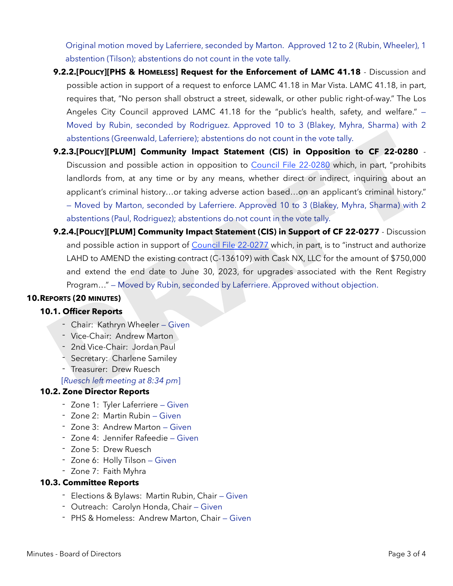Original motion moved by Laferriere, seconded by Marton. Approved 12 to 2 (Rubin, Wheeler), 1 abstention (Tilson); abstentions do not count in the vote tally.

- **9.2.2.[POLICY][PHS & HOMELESS] Request for the Enforcement of LAMC 41.18**  Discussion and possible action in support of a request to enforce LAMC 41.18 in Mar Vista. LAMC 41.18, in part, requires that, "No person shall obstruct a street, sidewalk, or other public right-of-way." The Los Angeles City Council approved LAMC 41.18 for the "public's health, safety, and welfare." — Moved by Rubin, seconded by Rodriguez. Approved 10 to 3 (Blakey, Myhra, Sharma) with 2 abstentions (Greenwald, Laferriere); abstentions do not count in the vote tally.
- **9.2.3.[POLICY][PLUM] Community Impact Statement (CIS) in Opposition to CF 22-0280** Discussion and possible action in opposition to Council File 22-0280 which, in part, "prohibits landlords from, at any time or by any means, whether direct or indirect, inquiring about an applicant's criminal history…or taking adverse action based…on an applicant's criminal history." — Moved by Marton, seconded by Laferriere. Approved 10 to 3 (Blakey, Myhra, Sharma) with 2 abstentions (Paul, Rodriguez); abstentions do not count in the vote tally. abstentions (Greenwald, Laferriere); abstentions do not count in the vote tally.<br>
9.2.3.[Poucry][PLUM] Community Impact Statement (CIS) in Opposition to CF 22-0280 .<br>
Discussion and possible action in opposition to Council
	- **9.2.4.[POLICY][PLUM] Community Impact Statement (CIS) in Support of CF 22-0277** Discussion and possible action in support of Council File 22-0277 which, in part, is to "instruct and authorize LAHD to AMEND the existing contract (C-136109) with Cask NX, LLC for the amount of \$750,000 and extend the end date to June 30, 2023, for upgrades associated with the Rent Registry Program…" — Moved by Rubin, seconded by Laferriere. Approved without objection.

# **10.REPORTS (20 MINUTES)**

### **10.1. Officer Reports**

- Chair: Kathryn Wheeler Given
- Vice-Chair: Andrew Marton
- 2nd Vice-Chair: Jordan Paul
- Secretary: Charlene Samiley
- Treasurer: Drew Ruesch

[*Ruesch left meeting at 8:34 pm*]

### **10.2. Zone Director Reports**

- Zone 1: Tyler Laferriere Given
- Zone 2: Martin Rubin Given
- Zone 3: Andrew Marton Given
- Zone 4: Jennifer Rafeedie Given
- Zone 5: Drew Ruesch
- Zone 6: Holly Tilson Given
- Zone 7: Faith Myhra

### **10.3. Committee Reports**

- Elections & Bylaws: Martin Rubin, Chair Given
- Outreach: Carolyn Honda, Chair Given
- PHS & Homeless: Andrew Marton, Chair Given